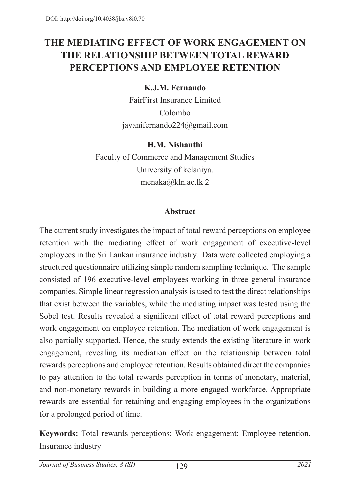# **THE MEDIATING EFFECT OF WORK ENGAGEMENT ON THE RELATIONSHIP BETWEEN TOTAL REWARD PERCEPTIONS AND EMPLOYEE RETENTION**

### **K.J.M. Fernando**

FairFirst Insurance Limited Colombo jayanifernando224@gmail.com

### **H.M. Nishanthi**

Faculty of Commerce and Management Studies University of kelaniya. menaka@kln.ac.lk 2

## **Abstract**

The current study investigates the impact of total reward perceptions on employee retention with the mediating effect of work engagement of executive-level employees in the Sri Lankan insurance industry. Data were collected employing a structured questionnaire utilizing simple random sampling technique. The sample consisted of 196 executive-level employees working in three general insurance companies. Simple linear regression analysis is used to test the direct relationships that exist between the variables, while the mediating impact was tested using the Sobel test. Results revealed a significant effect of total reward perceptions and work engagement on employee retention. The mediation of work engagement is also partially supported. Hence, the study extends the existing literature in work engagement, revealing its mediation effect on the relationship between total rewards perceptions and employee retention. Results obtained direct the companies to pay attention to the total rewards perception in terms of monetary, material, and non-monetary rewards in building a more engaged workforce. Appropriate rewards are essential for retaining and engaging employees in the organizations for a prolonged period of time.

**Keywords:** Total rewards perceptions; Work engagement; Employee retention, Insurance industry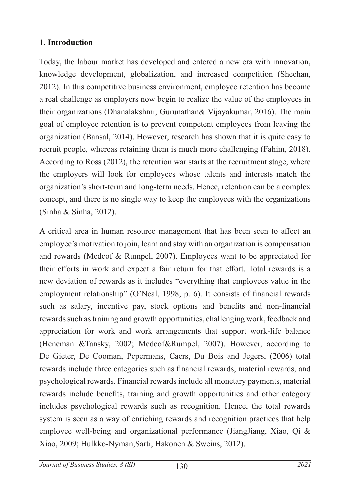### **1. Introduction**

Today, the labour market has developed and entered a new era with innovation, knowledge development, globalization, and increased competition (Sheehan, 2012). In this competitive business environment, employee retention has become a real challenge as employers now begin to realize the value of the employees in their organizations (Dhanalakshmi, Gurunathan& Vijayakumar, 2016). The main goal of employee retention is to prevent competent employees from leaving the organization (Bansal, 2014). However, research has shown that it is quite easy to recruit people, whereas retaining them is much more challenging (Fahim, 2018). According to Ross (2012), the retention war starts at the recruitment stage, where the employers will look for employees whose talents and interests match the organization's short-term and long-term needs. Hence, retention can be a complex concept, and there is no single way to keep the employees with the organizations (Sinha & Sinha, 2012).

A critical area in human resource management that has been seen to affect an employee's motivation to join, learn and stay with an organization is compensation and rewards (Medcof & Rumpel, 2007). Employees want to be appreciated for their efforts in work and expect a fair return for that effort. Total rewards is a new deviation of rewards as it includes "everything that employees value in the employment relationship" (O'Neal, 1998, p. 6). It consists of financial rewards such as salary, incentive pay, stock options and benefits and non-financial rewards such as training and growth opportunities, challenging work, feedback and appreciation for work and work arrangements that support work-life balance (Heneman &Tansky, 2002; Medcof&Rumpel, 2007). However, according to De Gieter, De Cooman, Pepermans, Caers, Du Bois and Jegers, (2006) total rewards include three categories such as financial rewards, material rewards, and psychological rewards. Financial rewards include all monetary payments, material rewards include benefits, training and growth opportunities and other category includes psychological rewards such as recognition. Hence, the total rewards system is seen as a way of enriching rewards and recognition practices that help employee well-being and organizational performance (JiangJiang, Xiao, Qi & Xiao, 2009; Hulkko-Nyman,Sarti, Hakonen & Sweins, 2012).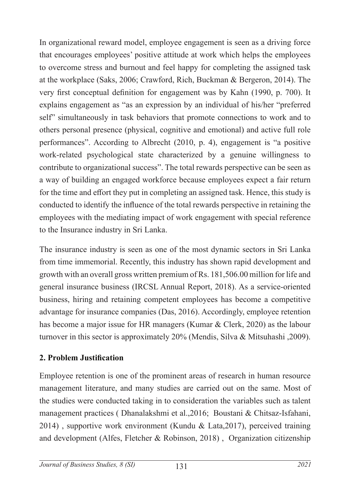In organizational reward model, employee engagement is seen as a driving force that encourages employees' positive attitude at work which helps the employees to overcome stress and burnout and feel happy for completing the assigned task at the workplace (Saks, 2006; Crawford, Rich, Buckman & Bergeron, 2014). The very first conceptual definition for engagement was by Kahn (1990, p. 700). It explains engagement as "as an expression by an individual of his/her "preferred self" simultaneously in task behaviors that promote connections to work and to others personal presence (physical, cognitive and emotional) and active full role performances". According to Albrecht (2010, p. 4), engagement is "a positive work-related psychological state characterized by a genuine willingness to contribute to organizational success". The total rewards perspective can be seen as a way of building an engaged workforce because employees expect a fair return for the time and effort they put in completing an assigned task. Hence, this study is conducted to identify the influence of the total rewards perspective in retaining the employees with the mediating impact of work engagement with special reference to the Insurance industry in Sri Lanka.

The insurance industry is seen as one of the most dynamic sectors in Sri Lanka from time immemorial. Recently, this industry has shown rapid development and growth with an overall gross written premium of Rs. 181,506.00 million for life and general insurance business (IRCSL Annual Report, 2018). As a service-oriented business, hiring and retaining competent employees has become a competitive advantage for insurance companies (Das, 2016). Accordingly, employee retention has become a major issue for HR managers (Kumar & Clerk, 2020) as the labour turnover in this sector is approximately 20% (Mendis, Silva & Mitsuhashi ,2009).

## **2. Problem Justification**

Employee retention is one of the prominent areas of research in human resource management literature, and many studies are carried out on the same. Most of the studies were conducted taking in to consideration the variables such as talent management practices ( Dhanalakshmi et al.,2016; Boustani & Chitsaz-Isfahani, 2014) , supportive work environment (Kundu & Lata,2017), perceived training and development (Alfes, Fletcher & Robinson, 2018) , Organization citizenship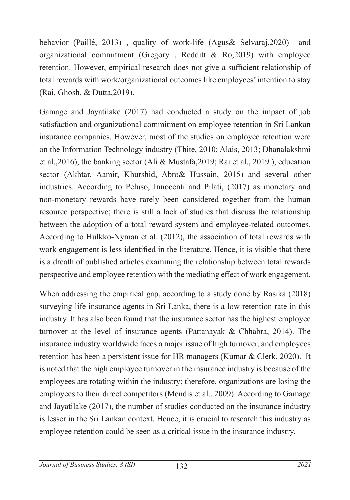behavior (Paillé, 2013) , quality of work-life (Agus& Selvaraj,2020) and organizational commitment (Gregory , Redditt & Ro,2019) with employee retention. However, empirical research does not give a sufficient relationship of total rewards with work/organizational outcomes like employees' intention to stay (Rai, Ghosh, & Dutta,2019).

Gamage and Jayatilake (2017) had conducted a study on the impact of job satisfaction and organizational commitment on employee retention in Sri Lankan insurance companies. However, most of the studies on employee retention were on the Information Technology industry (Thite, 2010; Alais, 2013; Dhanalakshmi et al.,2016), the banking sector (Ali & Mustafa,2019; Rai et al., 2019 ), education sector (Akhtar, Aamir, Khurshid, Abro& Hussain, 2015) and several other industries. According to Peluso, Innocenti and Pilati, (2017) as monetary and non-monetary rewards have rarely been considered together from the human resource perspective; there is still a lack of studies that discuss the relationship between the adoption of a total reward system and employee-related outcomes. According to Hulkko-Nyman et al. (2012), the association of total rewards with work engagement is less identified in the literature. Hence, it is visible that there is a dreath of published articles examining the relationship between total rewards perspective and employee retention with the mediating effect of work engagement.

When addressing the empirical gap, according to a study done by Rasika (2018) surveying life insurance agents in Sri Lanka, there is a low retention rate in this industry. It has also been found that the insurance sector has the highest employee turnover at the level of insurance agents (Pattanayak & Chhabra, 2014). The insurance industry worldwide faces a major issue of high turnover, and employees retention has been a persistent issue for HR managers (Kumar & Clerk, 2020). It is noted that the high employee turnover in the insurance industry is because of the employees are rotating within the industry; therefore, organizations are losing the employees to their direct competitors (Mendis et al., 2009). According to Gamage and Jayatilake (2017), the number of studies conducted on the insurance industry is lesser in the Sri Lankan context. Hence, it is crucial to research this industry as employee retention could be seen as a critical issue in the insurance industry.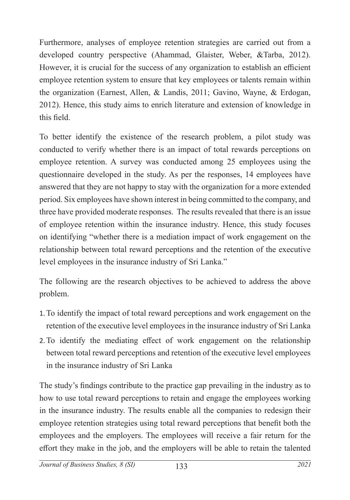Furthermore, analyses of employee retention strategies are carried out from a developed country perspective (Ahammad, Glaister, Weber, &Tarba, 2012). However, it is crucial for the success of any organization to establish an efficient employee retention system to ensure that key employees or talents remain within the organization (Earnest, Allen, & Landis, 2011; Gavino, Wayne, & Erdogan, 2012). Hence, this study aims to enrich literature and extension of knowledge in this field.

To better identify the existence of the research problem, a pilot study was conducted to verify whether there is an impact of total rewards perceptions on employee retention. A survey was conducted among 25 employees using the questionnaire developed in the study. As per the responses, 14 employees have answered that they are not happy to stay with the organization for a more extended period. Six employees have shown interest in being committed to the company, and three have provided moderate responses. The results revealed that there is an issue of employee retention within the insurance industry. Hence, this study focuses on identifying "whether there is a mediation impact of work engagement on the relationship between total reward perceptions and the retention of the executive level employees in the insurance industry of Sri Lanka."

The following are the research objectives to be achieved to address the above problem.

- 1.To identify the impact of total reward perceptions and work engagement on the retention of the executive level employees in the insurance industry of Sri Lanka
- 2.To identify the mediating effect of work engagement on the relationship between total reward perceptions and retention of the executive level employees in the insurance industry of Sri Lanka

The study's findings contribute to the practice gap prevailing in the industry as to how to use total reward perceptions to retain and engage the employees working in the insurance industry. The results enable all the companies to redesign their employee retention strategies using total reward perceptions that benefit both the employees and the employers. The employees will receive a fair return for the effort they make in the job, and the employers will be able to retain the talented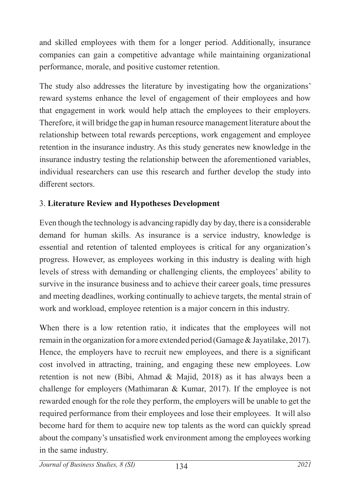and skilled employees with them for a longer period. Additionally, insurance companies can gain a competitive advantage while maintaining organizational performance, morale, and positive customer retention.

The study also addresses the literature by investigating how the organizations' reward systems enhance the level of engagement of their employees and how that engagement in work would help attach the employees to their employers. Therefore, it will bridge the gap in human resource management literature about the relationship between total rewards perceptions, work engagement and employee retention in the insurance industry. As this study generates new knowledge in the insurance industry testing the relationship between the aforementioned variables, individual researchers can use this research and further develop the study into different sectors.

## 3. **Literature Review and Hypotheses Development**

Even though the technology is advancing rapidly day by day, there is a considerable demand for human skills. As insurance is a service industry, knowledge is essential and retention of talented employees is critical for any organization's progress. However, as employees working in this industry is dealing with high levels of stress with demanding or challenging clients, the employees' ability to survive in the insurance business and to achieve their career goals, time pressures and meeting deadlines, working continually to achieve targets, the mental strain of work and workload, employee retention is a major concern in this industry.

When there is a low retention ratio, it indicates that the employees will not remain in the organization for a more extended period (Gamage & Jayatilake, 2017). Hence, the employers have to recruit new employees, and there is a significant cost involved in attracting, training, and engaging these new employees. Low retention is not new (Bibi, Ahmad & Majid, 2018) as it has always been a challenge for employers (Mathimaran & Kumar, 2017). If the employee is not rewarded enough for the role they perform, the employers will be unable to get the required performance from their employees and lose their employees. It will also become hard for them to acquire new top talents as the word can quickly spread about the company's unsatisfied work environment among the employees working in the same industry.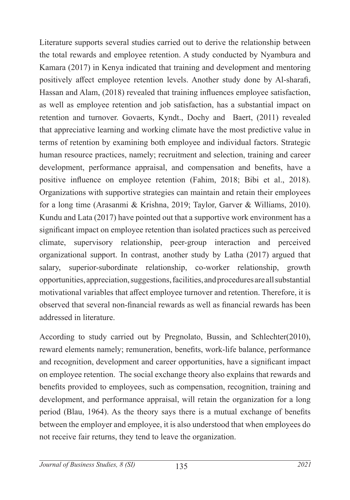Literature supports several studies carried out to derive the relationship between the total rewards and employee retention. A study conducted by Nyambura and Kamara (2017) in Kenya indicated that training and development and mentoring positively affect employee retention levels. Another study done by Al-sharafi, Hassan and Alam, (2018) revealed that training influences employee satisfaction, as well as employee retention and job satisfaction, has a substantial impact on retention and turnover. Govaerts, Kyndt., Dochy and Baert, (2011) revealed that appreciative learning and working climate have the most predictive value in terms of retention by examining both employee and individual factors. Strategic human resource practices, namely; recruitment and selection, training and career development, performance appraisal, and compensation and benefits, have a positive influence on employee retention (Fahim, 2018; Bibi et al., 2018). Organizations with supportive strategies can maintain and retain their employees for a long time (Arasanmi & Krishna, 2019; Taylor, Garver & Williams, 2010). Kundu and Lata (2017) have pointed out that a supportive work environment has a significant impact on employee retention than isolated practices such as perceived climate, supervisory relationship, peer-group interaction and perceived organizational support. In contrast, another study by Latha (2017) argued that salary, superior-subordinate relationship, co-worker relationship, growth opportunities, appreciation, suggestions, facilities, and procedures are all substantial motivational variables that affect employee turnover and retention. Therefore, it is observed that several non-financial rewards as well as financial rewards has been addressed in literature.

According to study carried out by Pregnolato, Bussin, and Schlechter(2010), reward elements namely; remuneration, benefits, work-life balance, performance and recognition, development and career opportunities, have a significant impact on employee retention. The social exchange theory also explains that rewards and benefits provided to employees, such as compensation, recognition, training and development, and performance appraisal, will retain the organization for a long period (Blau, 1964). As the theory says there is a mutual exchange of benefits between the employer and employee, it is also understood that when employees do not receive fair returns, they tend to leave the organization.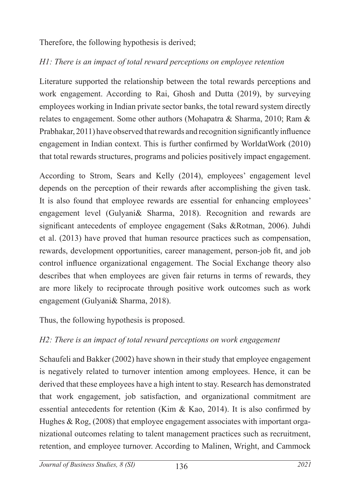Therefore, the following hypothesis is derived;

# *H1: There is an impact of total reward perceptions on employee retention*

Literature supported the relationship between the total rewards perceptions and work engagement. According to Rai, Ghosh and Dutta (2019), by surveying employees working in Indian private sector banks, the total reward system directly relates to engagement. Some other authors (Mohapatra & Sharma, 2010; Ram & Prabhakar, 2011) have observed that rewards and recognition significantly influence engagement in Indian context. This is further confirmed by WorldatWork (2010) that total rewards structures, programs and policies positively impact engagement.

According to Strom, Sears and Kelly (2014), employees' engagement level depends on the perception of their rewards after accomplishing the given task. It is also found that employee rewards are essential for enhancing employees' engagement level (Gulyani& Sharma, 2018). Recognition and rewards are significant antecedents of employee engagement (Saks &Rotman, 2006). Juhdi et al. (2013) have proved that human resource practices such as compensation, rewards, development opportunities, career management, person-job fit, and job control influence organizational engagement. The Social Exchange theory also describes that when employees are given fair returns in terms of rewards, they are more likely to reciprocate through positive work outcomes such as work engagement (Gulyani& Sharma, 2018).

Thus, the following hypothesis is proposed.

# *H2: There is an impact of total reward perceptions on work engagement*

Schaufeli and Bakker (2002) have shown in their study that employee engagement is negatively related to turnover intention among employees. Hence, it can be derived that these employees have a high intent to stay. Research has demonstrated that work engagement, job satisfaction, and organizational commitment are essential antecedents for retention (Kim  $\&$  Kao, 2014). It is also confirmed by Hughes & Rog, (2008) that employee engagement associates with important organizational outcomes relating to talent management practices such as recruitment, retention, and employee turnover. According to Malinen, Wright, and Cammock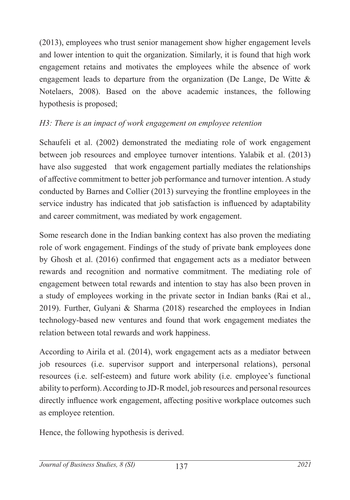(2013), employees who trust senior management show higher engagement levels and lower intention to quit the organization. Similarly, it is found that high work engagement retains and motivates the employees while the absence of work engagement leads to departure from the organization (De Lange, De Witte & Notelaers, 2008). Based on the above academic instances, the following hypothesis is proposed;

## *H3: There is an impact of work engagement on employee retention*

Schaufeli et al. (2002) demonstrated the mediating role of work engagement between job resources and employee turnover intentions. Yalabik et al. (2013) have also suggested that work engagement partially mediates the relationships of affective commitment to better job performance and turnover intention. A study conducted by Barnes and Collier (2013) surveying the frontline employees in the service industry has indicated that job satisfaction is influenced by adaptability and career commitment, was mediated by work engagement.

Some research done in the Indian banking context has also proven the mediating role of work engagement. Findings of the study of private bank employees done by Ghosh et al. (2016) confirmed that engagement acts as a mediator between rewards and recognition and normative commitment. The mediating role of engagement between total rewards and intention to stay has also been proven in a study of employees working in the private sector in Indian banks (Rai et al., 2019). Further, Gulyani & Sharma (2018) researched the employees in Indian technology-based new ventures and found that work engagement mediates the relation between total rewards and work happiness.

According to Airila et al. (2014), work engagement acts as a mediator between job resources (i.e. supervisor support and interpersonal relations), personal resources (i.e. self-esteem) and future work ability (i.e. employee's functional ability to perform). According to JD-R model, job resources and personal resources directly influence work engagement, affecting positive workplace outcomes such as employee retention.

Hence, the following hypothesis is derived.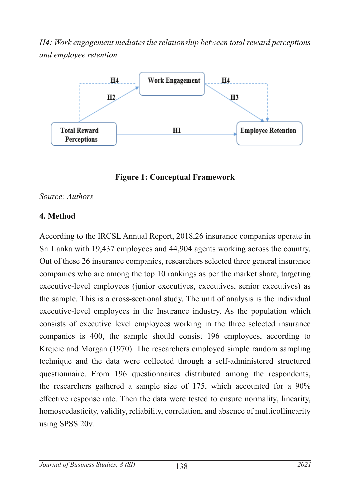*H4: Work engagement mediates the relationship between total reward perceptions and employee retention.*



**Figure 1: Conceptual Framework**

#### *Source: Authors*

#### **4. Method**

According to the IRCSL Annual Report, 2018,26 insurance companies operate in Sri Lanka with 19,437 employees and 44,904 agents working across the country. Out of these 26 insurance companies, researchers selected three general insurance companies who are among the top 10 rankings as per the market share, targeting executive-level employees (junior executives, executives, senior executives) as the sample. This is a cross-sectional study. The unit of analysis is the individual executive-level employees in the Insurance industry. As the population which consists of executive level employees working in the three selected insurance companies is 400, the sample should consist 196 employees, according to Krejcie and Morgan (1970). The researchers employed simple random sampling technique and the data were collected through a self-administered structured questionnaire. From 196 questionnaires distributed among the respondents, the researchers gathered a sample size of 175, which accounted for a 90% effective response rate. Then the data were tested to ensure normality, linearity, homoscedasticity, validity, reliability, correlation, and absence of multicollinearity using SPSS 20v.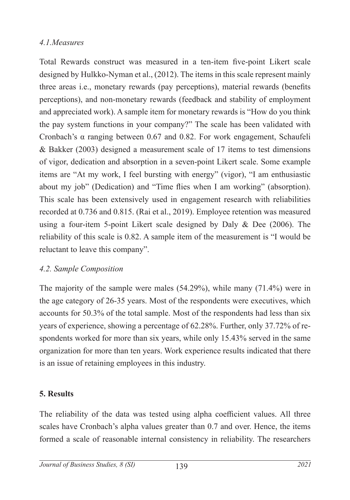## *4.1.Measures*

Total Rewards construct was measured in a ten-item five-point Likert scale designed by Hulkko-Nyman et al., (2012). The items in this scale represent mainly three areas i.e., monetary rewards (pay perceptions), material rewards (benefits perceptions), and non-monetary rewards (feedback and stability of employment and appreciated work). A sample item for monetary rewards is "How do you think the pay system functions in your company?" The scale has been validated with Cronbach's α ranging between 0.67 and 0.82. For work engagement, Schaufeli & Bakker (2003) designed a measurement scale of 17 items to test dimensions of vigor, dedication and absorption in a seven-point Likert scale. Some example items are "At my work, I feel bursting with energy" (vigor), "I am enthusiastic about my job" (Dedication) and "Time flies when I am working" (absorption). This scale has been extensively used in engagement research with reliabilities recorded at 0.736 and 0.815. (Rai et al., 2019). Employee retention was measured using a four-item 5-point Likert scale designed by Daly & Dee (2006). The reliability of this scale is 0.82. A sample item of the measurement is "I would be reluctant to leave this company".

## *4.2. Sample Composition*

The majority of the sample were males (54.29%), while many (71.4%) were in the age category of 26-35 years. Most of the respondents were executives, which accounts for 50.3% of the total sample. Most of the respondents had less than six years of experience, showing a percentage of 62.28%. Further, only 37.72% of respondents worked for more than six years, while only 15.43% served in the same organization for more than ten years. Work experience results indicated that there is an issue of retaining employees in this industry.

## **5. Results**

The reliability of the data was tested using alpha coefficient values. All three scales have Cronbach's alpha values greater than 0.7 and over. Hence, the items formed a scale of reasonable internal consistency in reliability. The researchers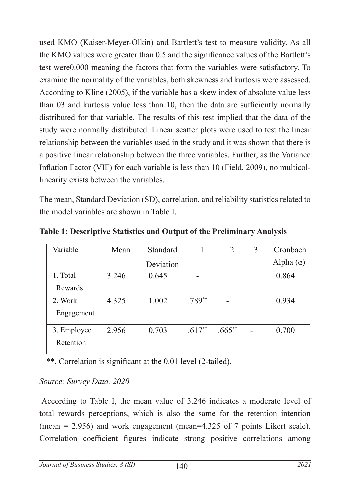used KMO (Kaiser-Meyer-Olkin) and Bartlett's test to measure validity. As all the KMO values were greater than 0.5 and the significance values of the Bartlett's test were0.000 meaning the factors that form the variables were satisfactory. To examine the normality of the variables, both skewness and kurtosis were assessed. According to Kline (2005), if the variable has a skew index of absolute value less than 03 and kurtosis value less than 10, then the data are sufficiently normally distributed for that variable. The results of this test implied that the data of the study were normally distributed. Linear scatter plots were used to test the linear relationship between the variables used in the study and it was shown that there is a positive linear relationship between the three variables. Further, as the Variance Inflation Factor (VIF) for each variable is less than 10 (Field, 2009), no multicollinearity exists between the variables.

The mean, Standard Deviation (SD), correlation, and reliability statistics related to the model variables are shown in Table I.

| Variable    | Mean  | Standard  |          | $\overline{2}$ | 3 | Cronbach         |  |
|-------------|-------|-----------|----------|----------------|---|------------------|--|
|             |       | Deviation |          |                |   | Alpha $(\alpha)$ |  |
| 1. Total    | 3.246 | 0.645     |          |                |   | 0.864            |  |
| Rewards     |       |           |          |                |   |                  |  |
| 2. Work     | 4.325 | 1.002     | $.789**$ |                |   | 0.934            |  |
| Engagement  |       |           |          |                |   |                  |  |
| 3. Employee | 2.956 | 0.703     | $.617**$ | $.665***$      |   | 0.700            |  |
| Retention   |       |           |          |                |   |                  |  |

**Table 1: Descriptive Statistics and Output of the Preliminary Analysis**

\*\*. Correlation is significant at the 0.01 level (2-tailed).

### *Source: Survey Data, 2020*

According to Table I, the mean value of 3.246 indicates a moderate level of total rewards perceptions, which is also the same for the retention intention (mean =  $2.956$ ) and work engagement (mean= $4.325$  of 7 points Likert scale). Correlation coefficient figures indicate strong positive correlations among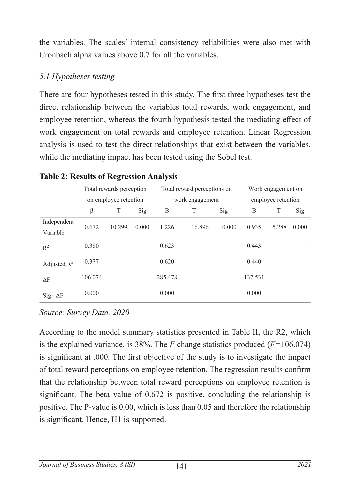the variables. The scales' internal consistency reliabilities were also met with Cronbach alpha values above 0.7 for all the variables.

## *5.1 Hypotheses testing*

There are four hypotheses tested in this study. The first three hypotheses test the direct relationship between the variables total rewards, work engagement, and employee retention, whereas the fourth hypothesis tested the mediating effect of work engagement on total rewards and employee retention. Linear Regression analysis is used to test the direct relationships that exist between the variables, while the mediating impact has been tested using the Sobel test.

|                         | Total rewards perception<br>on employee retention |        |       | Total reward perceptions on<br>work engagement |        |       | Work engagement on<br>employee retention |       |       |
|-------------------------|---------------------------------------------------|--------|-------|------------------------------------------------|--------|-------|------------------------------------------|-------|-------|
|                         | β                                                 | T      | Sig   | B                                              | T      | Sig   | B                                        | T     | Sig   |
| Independent<br>Variable | 0.672                                             | 10.299 | 0.000 | 1.226                                          | 16.896 | 0.000 | 0.935                                    | 5.288 | 0.000 |
| $R^2$                   | 0.380                                             |        |       | 0.623                                          |        |       | 0.443                                    |       |       |
| Adjusted $R^2$          | 0.377                                             |        |       | 0.620                                          |        |       | 0.440                                    |       |       |
| ΔF                      | 106.074                                           |        |       | 285.478                                        |        |       | 137.531                                  |       |       |
| Sig. $\Delta F$         | 0.000                                             |        |       | 0.000                                          |        |       | 0.000                                    |       |       |

#### **Table 2: Results of Regression Analysis**

## *Source: Survey Data, 2020*

According to the model summary statistics presented in Table II, the R2, which is the explained variance, is 38%. The *F* change statistics produced (*F=*106.074) is significant at .000. The first objective of the study is to investigate the impact of total reward perceptions on employee retention. The regression results confirm that the relationship between total reward perceptions on employee retention is significant. The beta value of 0.672 is positive, concluding the relationship is positive. The P-value is 0.00, which is less than 0.05 and therefore the relationship is significant. Hence, H1 is supported.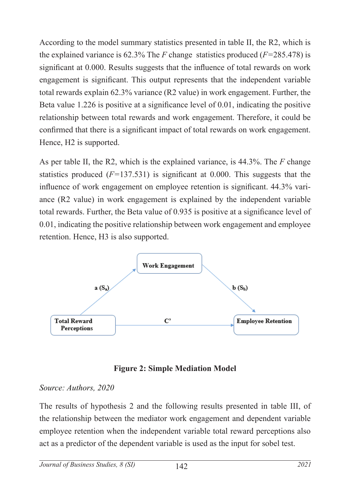According to the model summary statistics presented in table II, the R2, which is the explained variance is 62.3% The *F* change statistics produced (*F=*285.478) is significant at 0.000. Results suggests that the influence of total rewards on work engagement is significant. This output represents that the independent variable total rewards explain 62.3% variance (R2 value) in work engagement. Further, the Beta value 1.226 is positive at a significance level of 0.01, indicating the positive relationship between total rewards and work engagement. Therefore, it could be confirmed that there is a significant impact of total rewards on work engagement. Hence, H2 is supported.

As per table II, the R2, which is the explained variance, is 44.3%. The *F* change statistics produced (*F=*137.531) is significant at 0.000. This suggests that the influence of work engagement on employee retention is significant. 44.3% variance (R2 value) in work engagement is explained by the independent variable total rewards. Further, the Beta value of 0.935 is positive at a significance level of 0.01, indicating the positive relationship between work engagement and employee retention. Hence, H3 is also supported.



## **Figure 2: Simple Mediation Model**

#### *Source: Authors, 2020*

The results of hypothesis 2 and the following results presented in table III, of the relationship between the mediator work engagement and dependent variable employee retention when the independent variable total reward perceptions also act as a predictor of the dependent variable is used as the input for sobel test.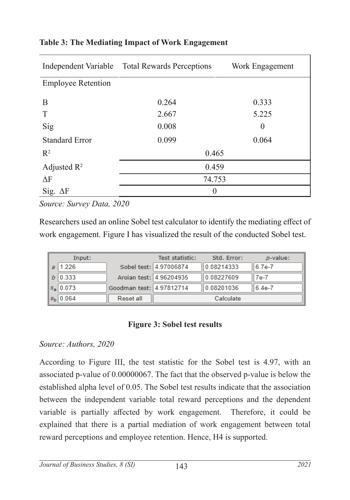|                           | Independent Variable Total Rewards Perceptions | Work Engagement |  |  |  |
|---------------------------|------------------------------------------------|-----------------|--|--|--|
| <b>Employee Retention</b> |                                                |                 |  |  |  |
| B                         | 0.264                                          | 0.333           |  |  |  |
| T                         | 2.667                                          | 5.225           |  |  |  |
| Sig                       | 0.008                                          | $\theta$        |  |  |  |
| <b>Standard Error</b>     | 0.099                                          | 0.064           |  |  |  |
| $\mathbb{R}^2$            | 0.465                                          |                 |  |  |  |
| Adjusted $R^2$            | 0.459                                          |                 |  |  |  |
| $\Delta F$                | 74.753                                         |                 |  |  |  |
| Sig. $\Delta F$           | 0                                              |                 |  |  |  |

#### **Table 3: The Mediating Impact of Work Engagement**

*Source: Survey Data, 2020*

Researchers used an online Sobel test calculator to identify the mediating effect of work engagement. Figure I has visualized the result of the conducted Sobel test.

| Input:            |                          | Test statistic:         | Std. Error: | <i>p</i> -value: |
|-------------------|--------------------------|-------------------------|-------------|------------------|
| $a$   1.226       |                          | Sobel test: 4.97006874  | 0.08214333  | 6.7e-7           |
| $b \mid 0.333$    |                          | Aroian test: 4.96204935 | 0.08227609  | 7e-7             |
| $ s_a 0.073$      | Goodman test: 4.97812714 |                         | 0.08201036  | 6.4e-7           |
| $s_{\rm b}$ 0.064 | Reset all                |                         | Calculate   |                  |

### **Figure 3: Sobel test results**

#### *Source: Authors, 2020*

According to Figure III, the test statistic for the Sobel test is 4.97, with an associated p-value of 0.00000067. The fact that the observed p-value is below the established alpha level of 0.05. The Sobel test results indicate that the association between the independent variable total reward perceptions and the dependent variable is partially affected by work engagement. Therefore, it could be explained that there is a partial mediation of work engagement between total reward perceptions and employee retention. Hence, H4 is supported.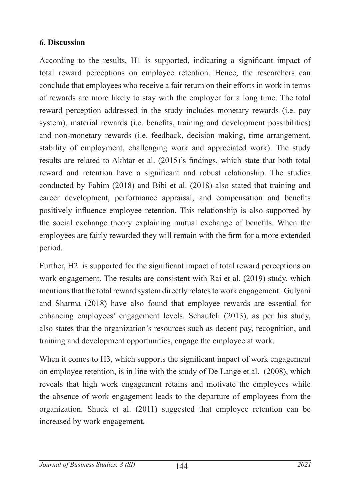### **6. Discussion**

According to the results, H1 is supported, indicating a significant impact of total reward perceptions on employee retention. Hence, the researchers can conclude that employees who receive a fair return on their efforts in work in terms of rewards are more likely to stay with the employer for a long time. The total reward perception addressed in the study includes monetary rewards (i.e. pay system), material rewards (i.e. benefits, training and development possibilities) and non-monetary rewards (i.e. feedback, decision making, time arrangement, stability of employment, challenging work and appreciated work). The study results are related to Akhtar et al. (2015)'s findings, which state that both total reward and retention have a significant and robust relationship. The studies conducted by Fahim (2018) and Bibi et al. (2018) also stated that training and career development, performance appraisal, and compensation and benefits positively influence employee retention. This relationship is also supported by the social exchange theory explaining mutual exchange of benefits. When the employees are fairly rewarded they will remain with the firm for a more extended period.

Further, H2 is supported for the significant impact of total reward perceptions on work engagement. The results are consistent with Rai et al. (2019) study, which mentions that the total reward system directly relates to work engagement. Gulyani and Sharma (2018) have also found that employee rewards are essential for enhancing employees' engagement levels. Schaufeli (2013), as per his study, also states that the organization's resources such as decent pay, recognition, and training and development opportunities, engage the employee at work.

When it comes to H3, which supports the significant impact of work engagement on employee retention, is in line with the study of De Lange et al. (2008), which reveals that high work engagement retains and motivate the employees while the absence of work engagement leads to the departure of employees from the organization. Shuck et al. (2011) suggested that employee retention can be increased by work engagement.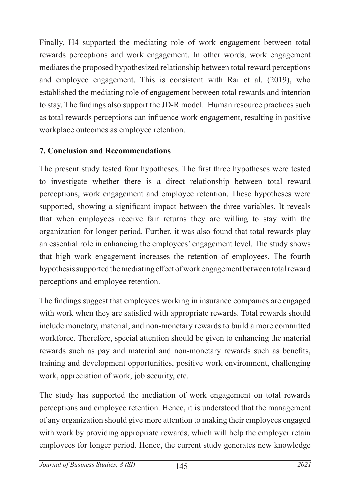Finally, H4 supported the mediating role of work engagement between total rewards perceptions and work engagement. In other words, work engagement mediates the proposed hypothesized relationship between total reward perceptions and employee engagement. This is consistent with Rai et al. (2019), who established the mediating role of engagement between total rewards and intention to stay. The findings also support the JD-R model. Human resource practices such as total rewards perceptions can influence work engagement, resulting in positive workplace outcomes as employee retention.

## **7. Conclusion and Recommendations**

The present study tested four hypotheses. The first three hypotheses were tested to investigate whether there is a direct relationship between total reward perceptions, work engagement and employee retention. These hypotheses were supported, showing a significant impact between the three variables. It reveals that when employees receive fair returns they are willing to stay with the organization for longer period. Further, it was also found that total rewards play an essential role in enhancing the employees' engagement level. The study shows that high work engagement increases the retention of employees. The fourth hypothesis supported the mediating effect of work engagement between total reward perceptions and employee retention.

The findings suggest that employees working in insurance companies are engaged with work when they are satisfied with appropriate rewards. Total rewards should include monetary, material, and non-monetary rewards to build a more committed workforce. Therefore, special attention should be given to enhancing the material rewards such as pay and material and non-monetary rewards such as benefits, training and development opportunities, positive work environment, challenging work, appreciation of work, job security, etc.

The study has supported the mediation of work engagement on total rewards perceptions and employee retention. Hence, it is understood that the management of any organization should give more attention to making their employees engaged with work by providing appropriate rewards, which will help the employer retain employees for longer period. Hence, the current study generates new knowledge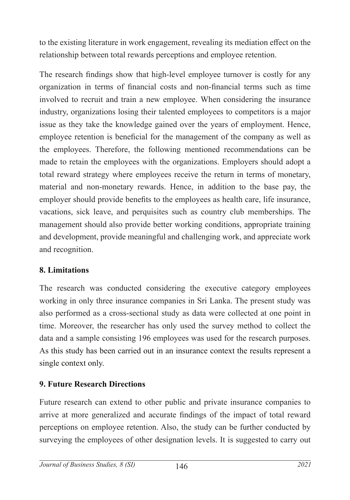to the existing literature in work engagement, revealing its mediation effect on the relationship between total rewards perceptions and employee retention.

The research findings show that high-level employee turnover is costly for any organization in terms of financial costs and non-financial terms such as time involved to recruit and train a new employee. When considering the insurance industry, organizations losing their talented employees to competitors is a major issue as they take the knowledge gained over the years of employment. Hence, employee retention is beneficial for the management of the company as well as the employees. Therefore, the following mentioned recommendations can be made to retain the employees with the organizations. Employers should adopt a total reward strategy where employees receive the return in terms of monetary, material and non-monetary rewards. Hence, in addition to the base pay, the employer should provide benefits to the employees as health care, life insurance, vacations, sick leave, and perquisites such as country club memberships. The management should also provide better working conditions, appropriate training and development, provide meaningful and challenging work, and appreciate work and recognition.

## **8. Limitations**

The research was conducted considering the executive category employees working in only three insurance companies in Sri Lanka. The present study was also performed as a cross-sectional study as data were collected at one point in time. Moreover, the researcher has only used the survey method to collect the data and a sample consisting 196 employees was used for the research purposes. As this study has been carried out in an insurance context the results represent a single context only.

## **9. Future Research Directions**

Future research can extend to other public and private insurance companies to arrive at more generalized and accurate findings of the impact of total reward perceptions on employee retention. Also, the study can be further conducted by surveying the employees of other designation levels. It is suggested to carry out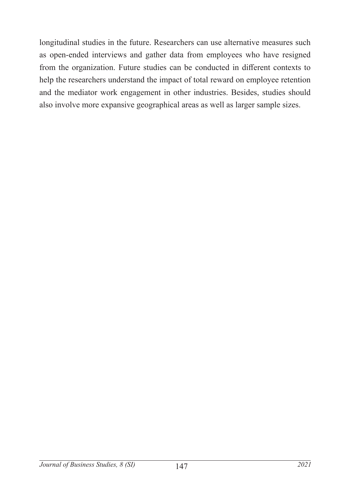longitudinal studies in the future. Researchers can use alternative measures such as open-ended interviews and gather data from employees who have resigned from the organization. Future studies can be conducted in different contexts to help the researchers understand the impact of total reward on employee retention and the mediator work engagement in other industries. Besides, studies should also involve more expansive geographical areas as well as larger sample sizes.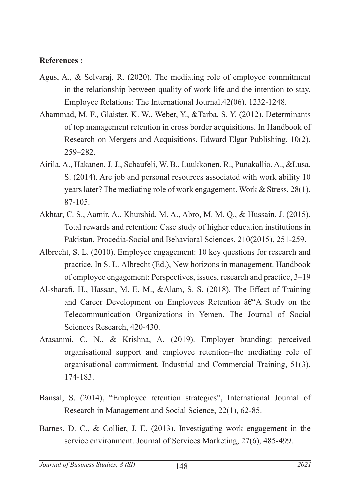#### **References :**

- Agus, A., & Selvaraj, R. (2020). The mediating role of employee commitment in the relationship between quality of work life and the intention to stay. Employee Relations: The International Journal.42(06). 1232-1248.
- Ahammad, M. F., Glaister, K. W., Weber, Y., &Tarba, S. Y. (2012). Determinants of top management retention in cross border acquisitions. In Handbook of Research on Mergers and Acquisitions. Edward Elgar Publishing, 10(2), 259–282.
- Airila, A., Hakanen, J. J., Schaufeli, W. B., Luukkonen, R., Punakallio, A., &Lusa, S. (2014). Are job and personal resources associated with work ability 10 years later? The mediating role of work engagement. Work & Stress, 28(1), 87-105.
- Akhtar, C. S., Aamir, A., Khurshid, M. A., Abro, M. M. Q., & Hussain, J. (2015). Total rewards and retention: Case study of higher education institutions in Pakistan. Procedia-Social and Behavioral Sciences, 210(2015), 251-259.
- Albrecht, S. L. (2010). Employee engagement: 10 key questions for research and practice. In S. L. Albrecht (Ed.), New horizons in management. Handbook of employee engagement: Perspectives, issues, research and practice, 3–19
- Al-sharafi, H., Hassan, M. E. M., &Alam, S. S. (2018). The Effect of Training and Career Development on Employees Retention  $\hat{a}\hat{\epsilon}$  Study on the Telecommunication Organizations in Yemen. The Journal of Social Sciences Research, 420-430.
- Arasanmi, C. N., & Krishna, A. (2019). Employer branding: perceived organisational support and employee retention–the mediating role of organisational commitment. Industrial and Commercial Training, 51(3), 174-183.
- Bansal, S. (2014), "Employee retention strategies", International Journal of Research in Management and Social Science, 22(1), 62-85.
- Barnes, D. C., & Collier, J. E. (2013). Investigating work engagement in the service environment. Journal of Services Marketing, 27(6), 485-499.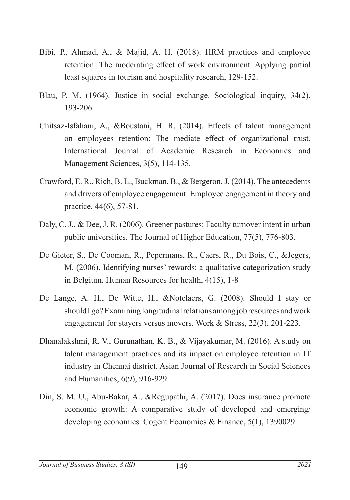- Bibi, P., Ahmad, A., & Majid, A. H. (2018). HRM practices and employee retention: The moderating effect of work environment. Applying partial least squares in tourism and hospitality research, 129-152.
- Blau, P. M. (1964). Justice in social exchange. Sociological inquiry, 34(2), 193-206.
- Chitsaz-Isfahani, A., &Boustani, H. R. (2014). Effects of talent management on employees retention: The mediate effect of organizational trust. International Journal of Academic Research in Economics and Management Sciences, 3(5), 114-135.
- Crawford, E. R., Rich, B. L., Buckman, B., & Bergeron, J. (2014). The antecedents and drivers of employee engagement. Employee engagement in theory and practice, 44(6), 57-81.
- Daly, C. J., & Dee, J. R. (2006). Greener pastures: Faculty turnover intent in urban public universities. The Journal of Higher Education, 77(5), 776-803.
- De Gieter, S., De Cooman, R., Pepermans, R., Caers, R., Du Bois, C., &Jegers, M. (2006). Identifying nurses' rewards: a qualitative categorization study in Belgium. Human Resources for health, 4(15), 1-8
- De Lange, A. H., De Witte, H., &Notelaers, G. (2008). Should I stay or should I go? Examining longitudinal relations among job resources and work engagement for stayers versus movers. Work & Stress, 22(3), 201-223.
- Dhanalakshmi, R. V., Gurunathan, K. B., & Vijayakumar, M. (2016). A study on talent management practices and its impact on employee retention in IT industry in Chennai district. Asian Journal of Research in Social Sciences and Humanities, 6(9), 916-929.
- Din, S. M. U., Abu-Bakar, A., &Regupathi, A. (2017). Does insurance promote economic growth: A comparative study of developed and emerging/ developing economies. Cogent Economics & Finance, 5(1), 1390029.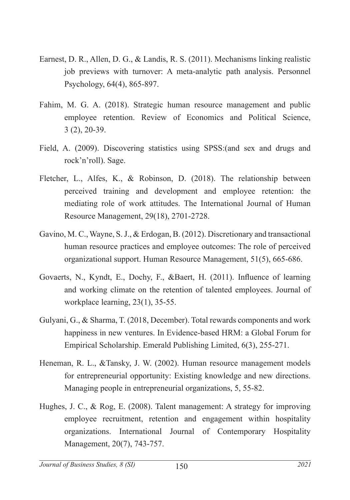- Earnest, D. R., Allen, D. G., & Landis, R. S. (2011). Mechanisms linking realistic job previews with turnover: A meta‐analytic path analysis. Personnel Psychology, 64(4), 865-897.
- Fahim, M. G. A. (2018). Strategic human resource management and public employee retention. Review of Economics and Political Science, 3 (2), 20-39.
- Field, A. (2009). Discovering statistics using SPSS:(and sex and drugs and rock'n'roll). Sage.
- Fletcher, L., Alfes, K., & Robinson, D. (2018). The relationship between perceived training and development and employee retention: the mediating role of work attitudes. The International Journal of Human Resource Management, 29(18), 2701-2728.
- Gavino, M. C., Wayne, S. J., & Erdogan, B. (2012). Discretionary and transactional human resource practices and employee outcomes: The role of perceived organizational support. Human Resource Management, 51(5), 665-686.
- Govaerts, N., Kyndt, E., Dochy, F., &Baert, H. (2011). Influence of learning and working climate on the retention of talented employees. Journal of workplace learning, 23(1), 35-55.
- Gulyani, G., & Sharma, T. (2018, December). Total rewards components and work happiness in new ventures. In Evidence-based HRM: a Global Forum for Empirical Scholarship. Emerald Publishing Limited, 6(3), 255-271.
- Heneman, R. L., &Tansky, J. W. (2002). Human resource management models for entrepreneurial opportunity: Existing knowledge and new directions. Managing people in entrepreneurial organizations, 5, 55-82.
- Hughes, J. C., & Rog, E. (2008). Talent management: A strategy for improving employee recruitment, retention and engagement within hospitality organizations. International Journal of Contemporary Hospitality Management, 20(7), 743-757.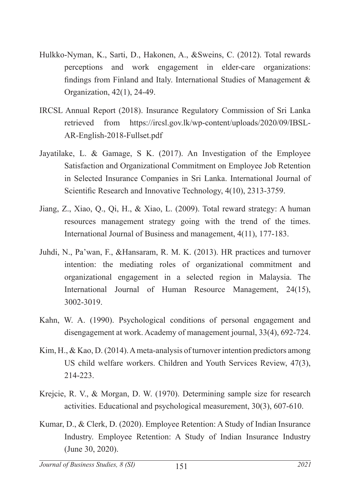- Hulkko-Nyman, K., Sarti, D., Hakonen, A., &Sweins, C. (2012). Total rewards perceptions and work engagement in elder-care organizations: findings from Finland and Italy. International Studies of Management & Organization, 42(1), 24-49.
- IRCSL Annual Report (2018). Insurance Regulatory Commission of Sri Lanka retrieved from https://ircsl.gov.lk/wp-content/uploads/2020/09/IBSL-AR-English-2018-Fullset.pdf
- Jayatilake, L. & Gamage, S K. (2017). An Investigation of the Employee Satisfaction and Organizational Commitment on Employee Job Retention in Selected Insurance Companies in Sri Lanka. International Journal of Scientific Research and Innovative Technology, 4(10), 2313-3759.
- Jiang, Z., Xiao, Q., Qi, H., & Xiao, L. (2009). Total reward strategy: A human resources management strategy going with the trend of the times. International Journal of Business and management, 4(11), 177-183.
- Juhdi, N., Pa'wan, F., &Hansaram, R. M. K. (2013). HR practices and turnover intention: the mediating roles of organizational commitment and organizational engagement in a selected region in Malaysia. The International Journal of Human Resource Management, 24(15), 3002-3019.
- Kahn, W. A. (1990). Psychological conditions of personal engagement and disengagement at work. Academy of management journal, 33(4), 692-724.
- Kim, H., & Kao, D. (2014). A meta-analysis of turnover intention predictors among US child welfare workers. Children and Youth Services Review, 47(3), 214-223.
- Krejcie, R. V., & Morgan, D. W. (1970). Determining sample size for research activities. Educational and psychological measurement, 30(3), 607-610.
- Kumar, D., & Clerk, D. (2020). Employee Retention: A Study of Indian Insurance Industry. Employee Retention: A Study of Indian Insurance Industry (June 30, 2020).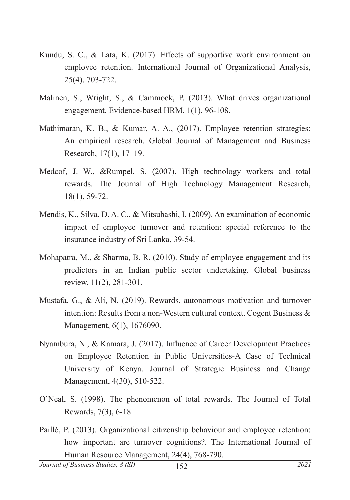- Kundu, S. C., & Lata, K. (2017). Effects of supportive work environment on employee retention. International Journal of Organizational Analysis, 25(4). 703-722.
- Malinen, S., Wright, S., & Cammock, P. (2013). What drives organizational engagement. Evidence-based HRM, 1(1), 96-108.
- Mathimaran, K. B., & Kumar, A. A., (2017). Employee retention strategies: An empirical research. Global Journal of Management and Business Research, 17(1), 17–19.
- Medcof, J. W., &Rumpel, S. (2007). High technology workers and total rewards. The Journal of High Technology Management Research, 18(1), 59-72.
- Mendis, K., Silva, D. A. C., & Mitsuhashi, I. (2009). An examination of economic impact of employee turnover and retention: special reference to the insurance industry of Sri Lanka, 39-54.
- Mohapatra, M., & Sharma, B. R. (2010). Study of employee engagement and its predictors in an Indian public sector undertaking. Global business review, 11(2), 281-301.
- Mustafa, G., & Ali, N. (2019). Rewards, autonomous motivation and turnover intention: Results from a non-Western cultural context. Cogent Business & Management, 6(1), 1676090.
- Nyambura, N., & Kamara, J. (2017). Influence of Career Development Practices on Employee Retention in Public Universities-A Case of Technical University of Kenya. Journal of Strategic Business and Change Management, 4(30), 510-522.
- O'Neal, S. (1998). The phenomenon of total rewards. The Journal of Total Rewards, 7(3), 6-18
- Paillé, P. (2013). Organizational citizenship behaviour and employee retention: how important are turnover cognitions?. The International Journal of Human Resource Management, 24(4), 768-790.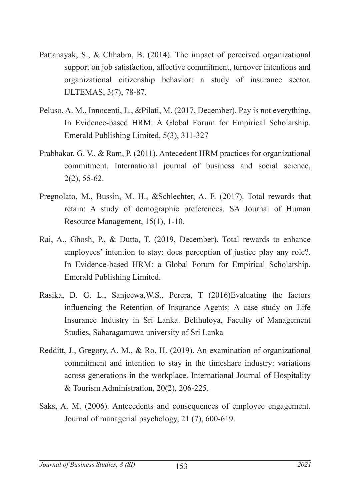- Pattanayak, S., & Chhabra, B. (2014). The impact of perceived organizational support on job satisfaction, affective commitment, turnover intentions and organizational citizenship behavior: a study of insurance sector. IJLTEMAS, 3(7), 78-87.
- Peluso, A. M., Innocenti, L., &Pilati, M. (2017, December). Pay is not everything. In Evidence-based HRM: A Global Forum for Empirical Scholarship. Emerald Publishing Limited, 5(3), 311-327
- Prabhakar, G. V., & Ram, P. (2011). Antecedent HRM practices for organizational commitment. International journal of business and social science, 2(2), 55-62.
- Pregnolato, M., Bussin, M. H., &Schlechter, A. F. (2017). Total rewards that retain: A study of demographic preferences. SA Journal of Human Resource Management, 15(1), 1-10.
- Rai, A., Ghosh, P., & Dutta, T. (2019, December). Total rewards to enhance employees' intention to stay: does perception of justice play any role?. In Evidence-based HRM: a Global Forum for Empirical Scholarship. Emerald Publishing Limited.
- Rasika, D. G. L., Sanjeewa,W.S., Perera, T (2016)Evaluating the factors influencing the Retention of Insurance Agents: A case study on Life Insurance Industry in Sri Lanka. Belihuloya, Faculty of Management Studies, Sabaragamuwa university of Sri Lanka
- Redditt, J., Gregory, A. M., & Ro, H. (2019). An examination of organizational commitment and intention to stay in the timeshare industry: variations across generations in the workplace. International Journal of Hospitality & Tourism Administration, 20(2), 206-225.
- Saks, A. M. (2006). Antecedents and consequences of employee engagement. Journal of managerial psychology, 21 (7), 600-619.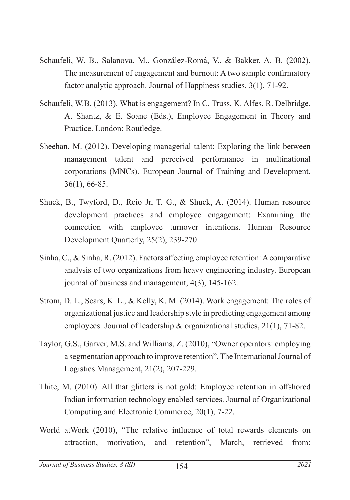- Schaufeli, W. B., Salanova, M., González-Romá, V., & Bakker, A. B. (2002). The measurement of engagement and burnout: A two sample confirmatory factor analytic approach. Journal of Happiness studies, 3(1), 71-92.
- Schaufeli, W.B. (2013). What is engagement? In C. Truss, K. Alfes, R. Delbridge, A. Shantz, & E. Soane (Eds.), Employee Engagement in Theory and Practice. London: Routledge.
- Sheehan, M. (2012). Developing managerial talent: Exploring the link between management talent and perceived performance in multinational corporations (MNCs). European Journal of Training and Development, 36(1), 66-85.
- Shuck, B., Twyford, D., Reio Jr, T. G., & Shuck, A. (2014). Human resource development practices and employee engagement: Examining the connection with employee turnover intentions. Human Resource Development Quarterly, 25(2), 239-270
- Sinha, C., & Sinha, R. (2012). Factors affecting employee retention: A comparative analysis of two organizations from heavy engineering industry. European journal of business and management, 4(3), 145-162.
- Strom, D. L., Sears, K. L., & Kelly, K. M. (2014). Work engagement: The roles of organizational justice and leadership style in predicting engagement among employees. Journal of leadership & organizational studies, 21(1), 71-82.
- Taylor, G.S., Garver, M.S. and Williams, Z. (2010), "Owner operators: employing a segmentation approach to improve retention", The International Journal of Logistics Management, 21(2), 207-229.
- Thite, M. (2010). All that glitters is not gold: Employee retention in offshored Indian information technology enabled services. Journal of Organizational Computing and Electronic Commerce, 20(1), 7-22.
- World atWork (2010), "The relative influence of total rewards elements on attraction, motivation, and retention", March, retrieved from: